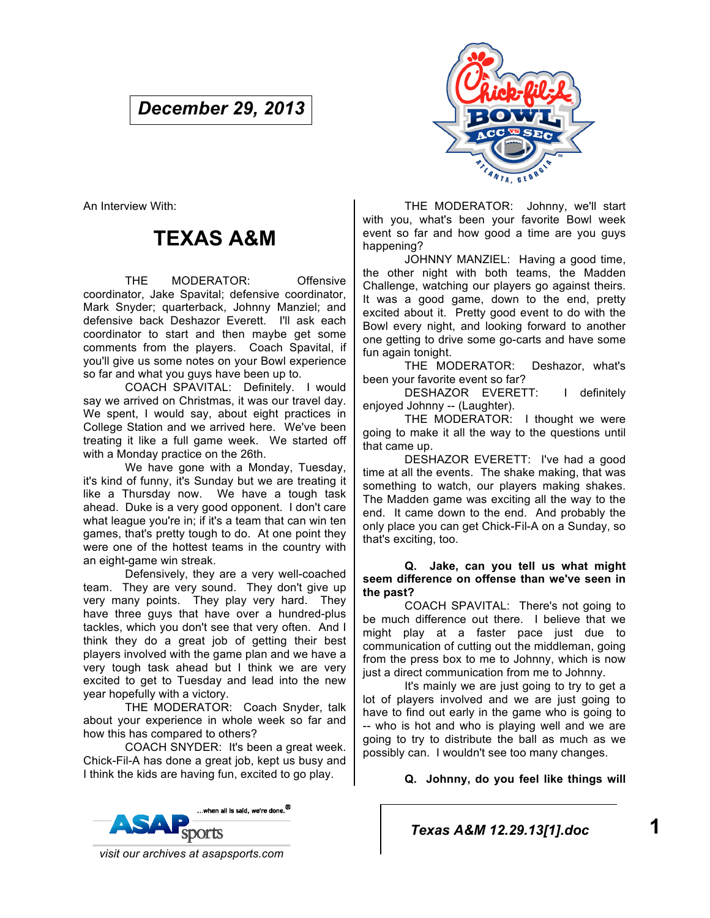# *December 29, 2013*



An Interview With:

# **TEXAS A&M**

THE MODERATOR: Offensive coordinator, Jake Spavital; defensive coordinator, Mark Snyder; quarterback, Johnny Manziel; and defensive back Deshazor Everett. I'll ask each coordinator to start and then maybe get some comments from the players. Coach Spavital, if you'll give us some notes on your Bowl experience so far and what you guys have been up to.

COACH SPAVITAL: Definitely. I would say we arrived on Christmas, it was our travel day. We spent, I would say, about eight practices in College Station and we arrived here. We've been treating it like a full game week. We started off with a Monday practice on the 26th.

We have gone with a Monday, Tuesday, it's kind of funny, it's Sunday but we are treating it like a Thursday now. We have a tough task ahead. Duke is a very good opponent. I don't care what league you're in; if it's a team that can win ten games, that's pretty tough to do. At one point they were one of the hottest teams in the country with an eight-game win streak.

Defensively, they are a very well-coached team. They are very sound. They don't give up very many points. They play very hard. They have three guys that have over a hundred-plus tackles, which you don't see that very often. And I think they do a great job of getting their best players involved with the game plan and we have a very tough task ahead but I think we are very excited to get to Tuesday and lead into the new year hopefully with a victory.

THE MODERATOR: Coach Snyder, talk about your experience in whole week so far and how this has compared to others?

COACH SNYDER: It's been a great week. Chick-Fil-A has done a great job, kept us busy and I think the kids are having fun, excited to go play.

THE MODERATOR: Johnny, we'll start with you, what's been your favorite Bowl week event so far and how good a time are you guys happening?

JOHNNY MANZIEL: Having a good time, the other night with both teams, the Madden Challenge, watching our players go against theirs. It was a good game, down to the end, pretty excited about it. Pretty good event to do with the Bowl every night, and looking forward to another one getting to drive some go-carts and have some fun again tonight.

THE MODERATOR: Deshazor, what's been your favorite event so far?

DESHAZOR EVERETT: I definitely enjoyed Johnny -- (Laughter).

THE MODERATOR: I thought we were going to make it all the way to the questions until that came up.

DESHAZOR EVERETT: I've had a good time at all the events. The shake making, that was something to watch, our players making shakes. The Madden game was exciting all the way to the end. It came down to the end. And probably the only place you can get Chick-Fil-A on a Sunday, so that's exciting, too.

#### **Q. Jake, can you tell us what might seem difference on offense than we've seen in the past?**

COACH SPAVITAL: There's not going to be much difference out there. I believe that we might play at a faster pace just due to communication of cutting out the middleman, going from the press box to me to Johnny, which is now just a direct communication from me to Johnny.

It's mainly we are just going to try to get a lot of players involved and we are just going to have to find out early in the game who is going to -- who is hot and who is playing well and we are going to try to distribute the ball as much as we possibly can. I wouldn't see too many changes.

**Q. Johnny, do you feel like things will** 



*Texas A&M 12.29.13[1].doc* **1**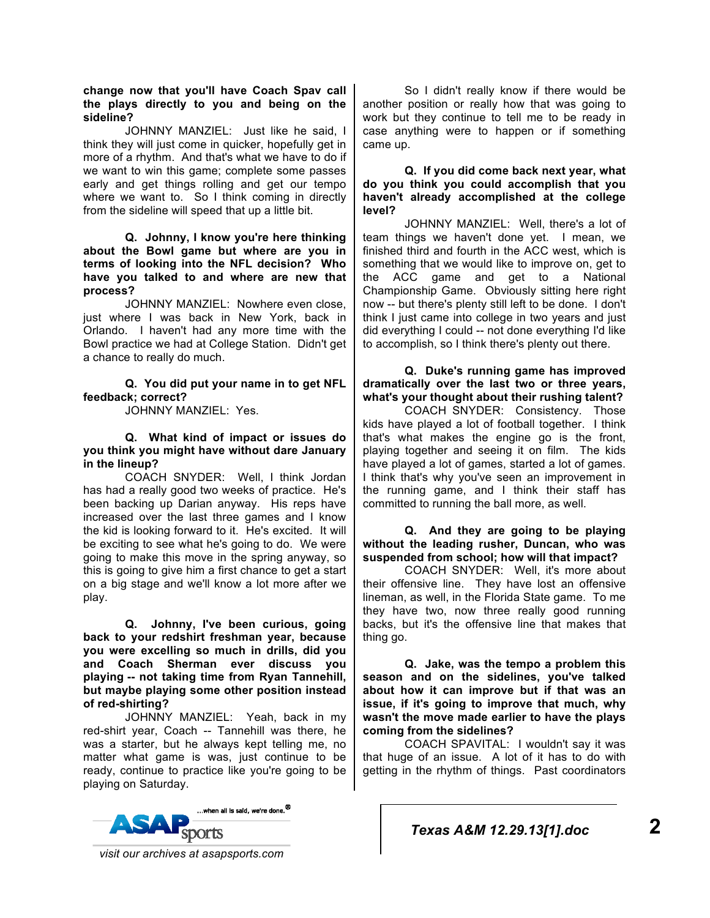#### **change now that you'll have Coach Spav call the plays directly to you and being on the sideline?**

JOHNNY MANZIEL: Just like he said, I think they will just come in quicker, hopefully get in more of a rhythm. And that's what we have to do if we want to win this game; complete some passes early and get things rolling and get our tempo where we want to. So I think coming in directly from the sideline will speed that up a little bit.

**Q. Johnny, I know you're here thinking about the Bowl game but where are you in terms of looking into the NFL decision? Who have you talked to and where are new that process?** 

JOHNNY MANZIEL: Nowhere even close, just where I was back in New York, back in Orlando. I haven't had any more time with the Bowl practice we had at College Station. Didn't get a chance to really do much.

## **Q. You did put your name in to get NFL feedback; correct?**

JOHNNY MANZIEL: Yes.

**Q. What kind of impact or issues do you think you might have without dare January in the lineup?** 

COACH SNYDER: Well, I think Jordan has had a really good two weeks of practice. He's been backing up Darian anyway. His reps have increased over the last three games and I know the kid is looking forward to it. He's excited. It will be exciting to see what he's going to do. We were going to make this move in the spring anyway, so this is going to give him a first chance to get a start on a big stage and we'll know a lot more after we play.

**Q. Johnny, I've been curious, going back to your redshirt freshman year, because you were excelling so much in drills, did you and Coach Sherman ever discuss you playing -- not taking time from Ryan Tannehill, but maybe playing some other position instead of red-shirting?** 

JOHNNY MANZIEL: Yeah, back in my red-shirt year, Coach -- Tannehill was there, he was a starter, but he always kept telling me, no matter what game is was, just continue to be ready, continue to practice like you're going to be playing on Saturday.



So I didn't really know if there would be another position or really how that was going to work but they continue to tell me to be ready in case anything were to happen or if something came up.

**Q. If you did come back next year, what do you think you could accomplish that you haven't already accomplished at the college level?** 

JOHNNY MANZIEL: Well, there's a lot of team things we haven't done yet. I mean, we finished third and fourth in the ACC west, which is something that we would like to improve on, get to the ACC game and get to a National Championship Game. Obviously sitting here right now -- but there's plenty still left to be done. I don't think I just came into college in two years and just did everything I could -- not done everything I'd like to accomplish, so I think there's plenty out there.

**Q. Duke's running game has improved dramatically over the last two or three years, what's your thought about their rushing talent?** 

COACH SNYDER: Consistency. Those kids have played a lot of football together. I think that's what makes the engine go is the front, playing together and seeing it on film. The kids have played a lot of games, started a lot of games. I think that's why you've seen an improvement in the running game, and I think their staff has committed to running the ball more, as well.

## **Q. And they are going to be playing without the leading rusher, Duncan, who was suspended from school; how will that impact?**

COACH SNYDER: Well, it's more about their offensive line. They have lost an offensive lineman, as well, in the Florida State game. To me they have two, now three really good running backs, but it's the offensive line that makes that thing go.

**Q. Jake, was the tempo a problem this season and on the sidelines, you've talked about how it can improve but if that was an issue, if it's going to improve that much, why wasn't the move made earlier to have the plays coming from the sidelines?** 

COACH SPAVITAL: I wouldn't say it was that huge of an issue. A lot of it has to do with getting in the rhythm of things. Past coordinators

*Texas A&M 12.29.13[1].doc* **2**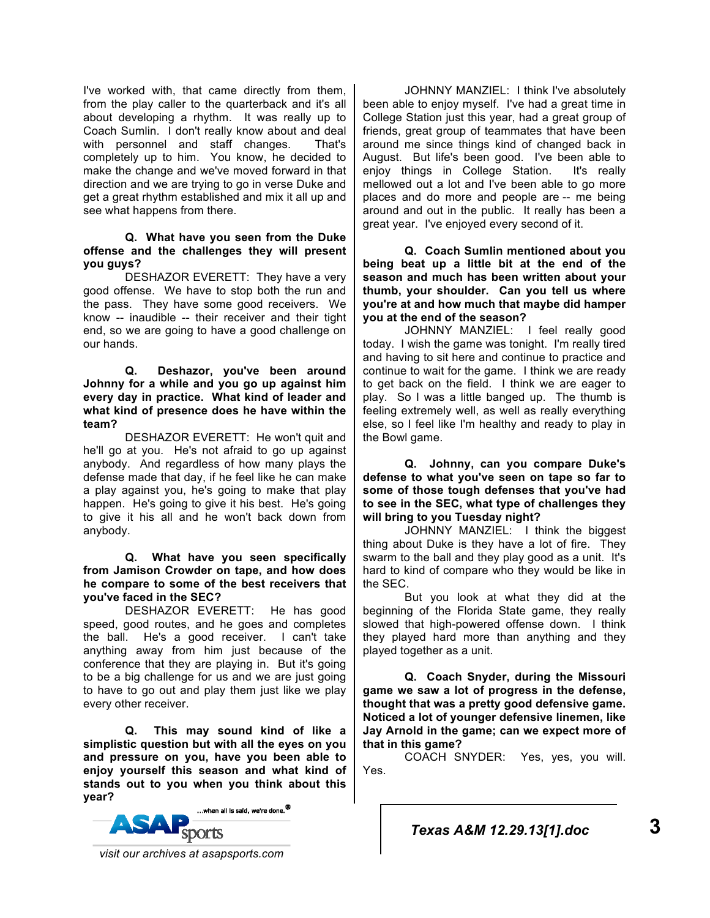I've worked with, that came directly from them, from the play caller to the quarterback and it's all about developing a rhythm. It was really up to Coach Sumlin. I don't really know about and deal with personnel and staff changes. That's completely up to him. You know, he decided to make the change and we've moved forward in that direction and we are trying to go in verse Duke and get a great rhythm established and mix it all up and see what happens from there.

#### **Q. What have you seen from the Duke offense and the challenges they will present you guys?**

DESHAZOR EVERETT: They have a very good offense. We have to stop both the run and the pass. They have some good receivers. We know -- inaudible -- their receiver and their tight end, so we are going to have a good challenge on our hands.

#### **Q. Deshazor, you've been around Johnny for a while and you go up against him every day in practice. What kind of leader and what kind of presence does he have within the team?**

DESHAZOR EVERETT: He won't quit and he'll go at you. He's not afraid to go up against anybody. And regardless of how many plays the defense made that day, if he feel like he can make a play against you, he's going to make that play happen. He's going to give it his best. He's going to give it his all and he won't back down from anybody.

#### **Q. What have you seen specifically from Jamison Crowder on tape, and how does he compare to some of the best receivers that you've faced in the SEC?**

DESHAZOR EVERETT: He has good speed, good routes, and he goes and completes the ball. He's a good receiver. I can't take anything away from him just because of the conference that they are playing in. But it's going to be a big challenge for us and we are just going to have to go out and play them just like we play every other receiver.

**Q. This may sound kind of like a simplistic question but with all the eyes on you and pressure on you, have you been able to enjoy yourself this season and what kind of stands out to you when you think about this year?** 



JOHNNY MANZIEL: I think I've absolutely been able to enjoy myself. I've had a great time in College Station just this year, had a great group of friends, great group of teammates that have been around me since things kind of changed back in August. But life's been good. I've been able to enjoy things in College Station. It's really mellowed out a lot and I've been able to go more places and do more and people are -- me being around and out in the public. It really has been a great year. I've enjoyed every second of it.

**Q. Coach Sumlin mentioned about you being beat up a little bit at the end of the season and much has been written about your thumb, your shoulder. Can you tell us where you're at and how much that maybe did hamper you at the end of the season?** 

JOHNNY MANZIEL: I feel really good today. I wish the game was tonight. I'm really tired and having to sit here and continue to practice and continue to wait for the game. I think we are ready to get back on the field. I think we are eager to play. So I was a little banged up. The thumb is feeling extremely well, as well as really everything else, so I feel like I'm healthy and ready to play in the Bowl game.

**Q. Johnny, can you compare Duke's defense to what you've seen on tape so far to some of those tough defenses that you've had to see in the SEC, what type of challenges they will bring to you Tuesday night?** 

JOHNNY MANZIEL: I think the biggest thing about Duke is they have a lot of fire. They swarm to the ball and they play good as a unit. It's hard to kind of compare who they would be like in the SEC.

But you look at what they did at the beginning of the Florida State game, they really slowed that high-powered offense down. I think they played hard more than anything and they played together as a unit.

**Q. Coach Snyder, during the Missouri game we saw a lot of progress in the defense, thought that was a pretty good defensive game. Noticed a lot of younger defensive linemen, like Jay Arnold in the game; can we expect more of that in this game?** 

COACH SNYDER: Yes, yes, you will. Yes.

*Texas A&M 12.29.13[1].doc* **3**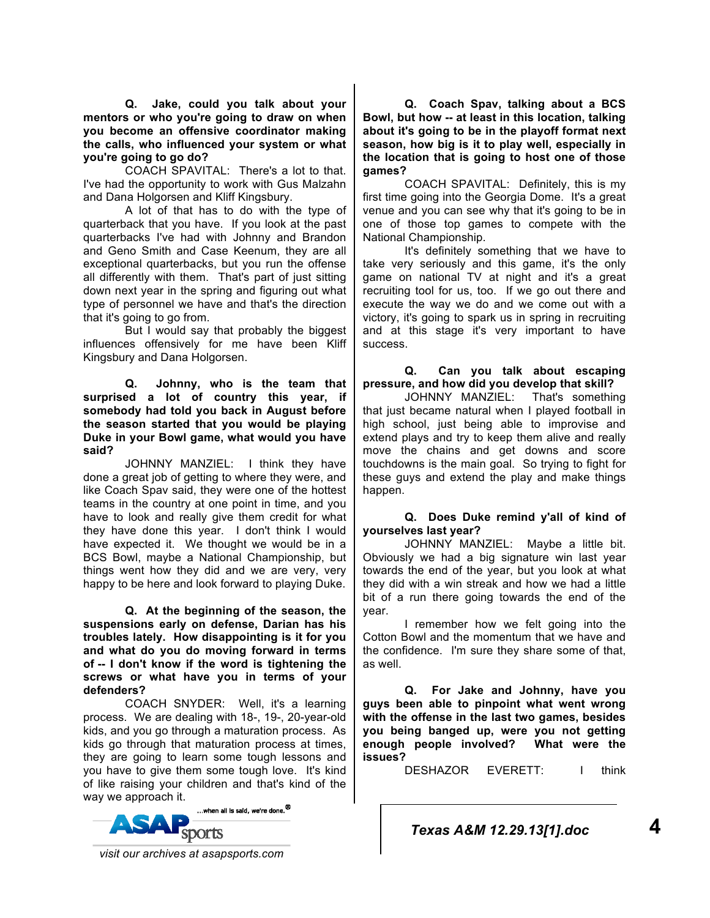**Q. Jake, could you talk about your mentors or who you're going to draw on when you become an offensive coordinator making the calls, who influenced your system or what you're going to go do?** 

COACH SPAVITAL: There's a lot to that. I've had the opportunity to work with Gus Malzahn and Dana Holgorsen and Kliff Kingsbury.

A lot of that has to do with the type of quarterback that you have. If you look at the past quarterbacks I've had with Johnny and Brandon and Geno Smith and Case Keenum, they are all exceptional quarterbacks, but you run the offense all differently with them. That's part of just sitting down next year in the spring and figuring out what type of personnel we have and that's the direction that it's going to go from.

But I would say that probably the biggest influences offensively for me have been Kliff Kingsbury and Dana Holgorsen.

**Q. Johnny, who is the team that surprised a lot of country this year, if somebody had told you back in August before the season started that you would be playing Duke in your Bowl game, what would you have said?** 

JOHNNY MANZIEL: I think they have done a great job of getting to where they were, and like Coach Spav said, they were one of the hottest teams in the country at one point in time, and you have to look and really give them credit for what they have done this year. I don't think I would have expected it. We thought we would be in a BCS Bowl, maybe a National Championship, but things went how they did and we are very, very happy to be here and look forward to playing Duke.

**Q. At the beginning of the season, the suspensions early on defense, Darian has his troubles lately. How disappointing is it for you and what do you do moving forward in terms of -- I don't know if the word is tightening the screws or what have you in terms of your defenders?**

COACH SNYDER: Well, it's a learning process. We are dealing with 18-, 19-, 20-year-old kids, and you go through a maturation process. As kids go through that maturation process at times, they are going to learn some tough lessons and you have to give them some tough love. It's kind of like raising your children and that's kind of the way we approach it.



**Q. Coach Spav, talking about a BCS Bowl, but how -- at least in this location, talking about it's going to be in the playoff format next season, how big is it to play well, especially in the location that is going to host one of those games?** 

COACH SPAVITAL: Definitely, this is my first time going into the Georgia Dome. It's a great venue and you can see why that it's going to be in one of those top games to compete with the National Championship.

It's definitely something that we have to take very seriously and this game, it's the only game on national TV at night and it's a great recruiting tool for us, too. If we go out there and execute the way we do and we come out with a victory, it's going to spark us in spring in recruiting and at this stage it's very important to have success.

**Q. Can you talk about escaping pressure, and how did you develop that skill?** 

JOHNNY MANZIEL: That's something that just became natural when I played football in high school, just being able to improvise and extend plays and try to keep them alive and really move the chains and get downs and score touchdowns is the main goal. So trying to fight for these guys and extend the play and make things happen.

**Q. Does Duke remind y'all of kind of yourselves last year?** 

JOHNNY MANZIEL: Maybe a little bit. Obviously we had a big signature win last year towards the end of the year, but you look at what they did with a win streak and how we had a little bit of a run there going towards the end of the year.

I remember how we felt going into the Cotton Bowl and the momentum that we have and the confidence. I'm sure they share some of that, as well.

**Q. For Jake and Johnny, have you guys been able to pinpoint what went wrong with the offense in the last two games, besides you being banged up, were you not getting enough people involved? What were the issues?** 

DESHAZOR EVERETT: I think

*Texas A&M 12.29.13[1].doc* **4**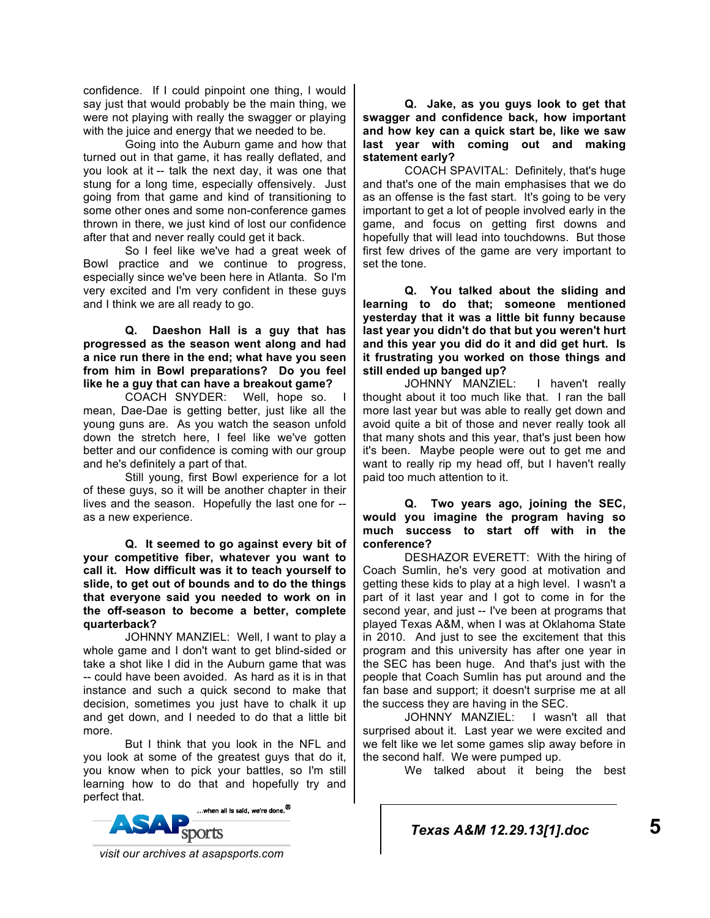confidence. If I could pinpoint one thing, I would say just that would probably be the main thing, we were not playing with really the swagger or playing with the juice and energy that we needed to be.

Going into the Auburn game and how that turned out in that game, it has really deflated, and you look at it -- talk the next day, it was one that stung for a long time, especially offensively. Just going from that game and kind of transitioning to some other ones and some non-conference games thrown in there, we just kind of lost our confidence after that and never really could get it back.

So I feel like we've had a great week of Bowl practice and we continue to progress, especially since we've been here in Atlanta. So I'm very excited and I'm very confident in these guys and I think we are all ready to go.

**Q. Daeshon Hall is a guy that has progressed as the season went along and had a nice run there in the end; what have you seen from him in Bowl preparations? Do you feel like he a guy that can have a breakout game?** 

COACH SNYDER: Well, hope so. I mean, Dae-Dae is getting better, just like all the young guns are. As you watch the season unfold down the stretch here, I feel like we've gotten better and our confidence is coming with our group and he's definitely a part of that.

Still young, first Bowl experience for a lot of these guys, so it will be another chapter in their lives and the season. Hopefully the last one for - as a new experience.

**Q. It seemed to go against every bit of your competitive fiber, whatever you want to call it. How difficult was it to teach yourself to slide, to get out of bounds and to do the things that everyone said you needed to work on in the off-season to become a better, complete quarterback?** 

JOHNNY MANZIEL: Well, I want to play a whole game and I don't want to get blind-sided or take a shot like I did in the Auburn game that was -- could have been avoided. As hard as it is in that instance and such a quick second to make that decision, sometimes you just have to chalk it up and get down, and I needed to do that a little bit more.

But I think that you look in the NFL and you look at some of the greatest guys that do it, you know when to pick your battles, so I'm still learning how to do that and hopefully try and perfect that.



**Q. Jake, as you guys look to get that swagger and confidence back, how important and how key can a quick start be, like we saw last year with coming out and making statement early?** 

COACH SPAVITAL: Definitely, that's huge and that's one of the main emphasises that we do as an offense is the fast start. It's going to be very important to get a lot of people involved early in the game, and focus on getting first downs and hopefully that will lead into touchdowns. But those first few drives of the game are very important to set the tone.

**Q. You talked about the sliding and learning to do that; someone mentioned yesterday that it was a little bit funny because last year you didn't do that but you weren't hurt and this year you did do it and did get hurt. Is it frustrating you worked on those things and still ended up banged up?** 

JOHNNY MANZIEL: I haven't really thought about it too much like that. I ran the ball more last year but was able to really get down and avoid quite a bit of those and never really took all that many shots and this year, that's just been how it's been. Maybe people were out to get me and want to really rip my head off, but I haven't really paid too much attention to it.

**Q. Two years ago, joining the SEC, would you imagine the program having so much success to start off with in the conference?** 

DESHAZOR EVERETT: With the hiring of Coach Sumlin, he's very good at motivation and getting these kids to play at a high level. I wasn't a part of it last year and I got to come in for the second year, and just -- I've been at programs that played Texas A&M, when I was at Oklahoma State in 2010. And just to see the excitement that this program and this university has after one year in the SEC has been huge. And that's just with the people that Coach Sumlin has put around and the fan base and support; it doesn't surprise me at all the success they are having in the SEC.

JOHNNY MANZIEL: I wasn't all that surprised about it. Last year we were excited and we felt like we let some games slip away before in the second half. We were pumped up.

We talked about it being the best

*Texas A&M 12.29.13[1].doc* **5**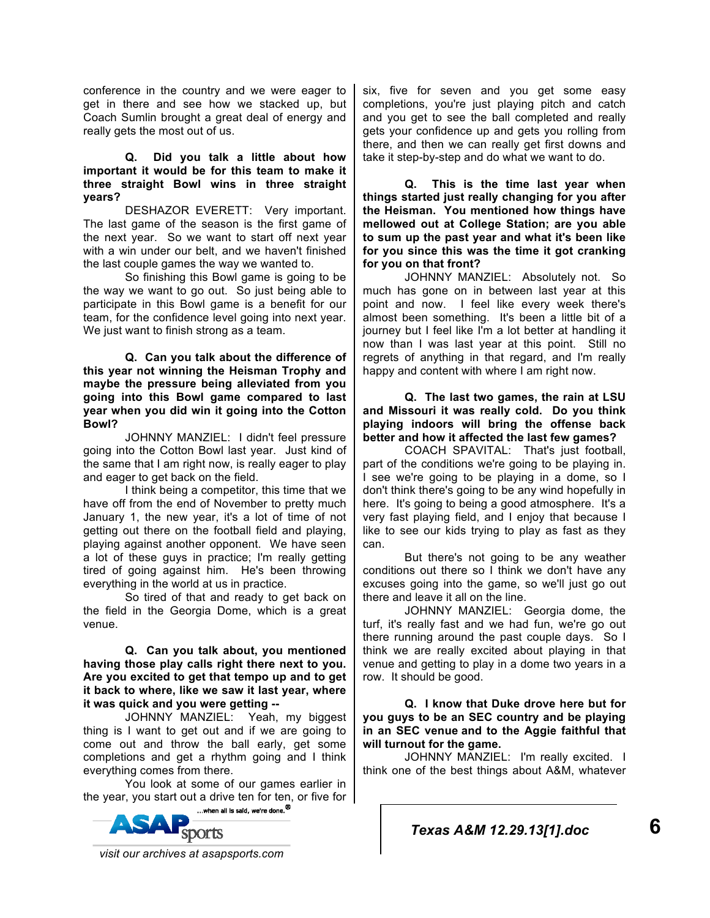conference in the country and we were eager to get in there and see how we stacked up, but Coach Sumlin brought a great deal of energy and really gets the most out of us.

#### **Q. Did you talk a little about how important it would be for this team to make it three straight Bowl wins in three straight years?**

DESHAZOR EVERETT: Very important. The last game of the season is the first game of the next year. So we want to start off next year with a win under our belt, and we haven't finished the last couple games the way we wanted to.

So finishing this Bowl game is going to be the way we want to go out. So just being able to participate in this Bowl game is a benefit for our team, for the confidence level going into next year. We just want to finish strong as a team.

**Q. Can you talk about the difference of this year not winning the Heisman Trophy and maybe the pressure being alleviated from you going into this Bowl game compared to last year when you did win it going into the Cotton Bowl?** 

JOHNNY MANZIEL: I didn't feel pressure going into the Cotton Bowl last year. Just kind of the same that I am right now, is really eager to play and eager to get back on the field.

I think being a competitor, this time that we have off from the end of November to pretty much January 1, the new year, it's a lot of time of not getting out there on the football field and playing, playing against another opponent. We have seen a lot of these guys in practice; I'm really getting tired of going against him. He's been throwing everything in the world at us in practice.

So tired of that and ready to get back on the field in the Georgia Dome, which is a great venue.

**Q. Can you talk about, you mentioned having those play calls right there next to you. Are you excited to get that tempo up and to get it back to where, like we saw it last year, where it was quick and you were getting --**

JOHNNY MANZIEL: Yeah, my biggest thing is I want to get out and if we are going to come out and throw the ball early, get some completions and get a rhythm going and I think everything comes from there.

You look at some of our games earlier in the year, you start out a drive ten for ten, or five for



six, five for seven and you get some easy completions, you're just playing pitch and catch and you get to see the ball completed and really gets your confidence up and gets you rolling from there, and then we can really get first downs and take it step-by-step and do what we want to do.

**Q. This is the time last year when things started just really changing for you after the Heisman. You mentioned how things have mellowed out at College Station; are you able to sum up the past year and what it's been like for you since this was the time it got cranking for you on that front?** 

JOHNNY MANZIEL: Absolutely not. So much has gone on in between last year at this point and now. I feel like every week there's almost been something. It's been a little bit of a journey but I feel like I'm a lot better at handling it now than I was last year at this point. Still no regrets of anything in that regard, and I'm really happy and content with where I am right now.

#### **Q. The last two games, the rain at LSU and Missouri it was really cold. Do you think playing indoors will bring the offense back better and how it affected the last few games?**

COACH SPAVITAL: That's just football, part of the conditions we're going to be playing in. I see we're going to be playing in a dome, so I don't think there's going to be any wind hopefully in here. It's going to being a good atmosphere. It's a very fast playing field, and I enjoy that because I like to see our kids trying to play as fast as they can.

But there's not going to be any weather conditions out there so I think we don't have any excuses going into the game, so we'll just go out there and leave it all on the line.

JOHNNY MANZIEL: Georgia dome, the turf, it's really fast and we had fun, we're go out there running around the past couple days. So I think we are really excited about playing in that venue and getting to play in a dome two years in a row. It should be good.

**Q. I know that Duke drove here but for you guys to be an SEC country and be playing in an SEC venue and to the Aggie faithful that will turnout for the game.** 

JOHNNY MANZIEL: I'm really excited. I think one of the best things about A&M, whatever

*Texas A&M 12.29.13[1].doc* **6**